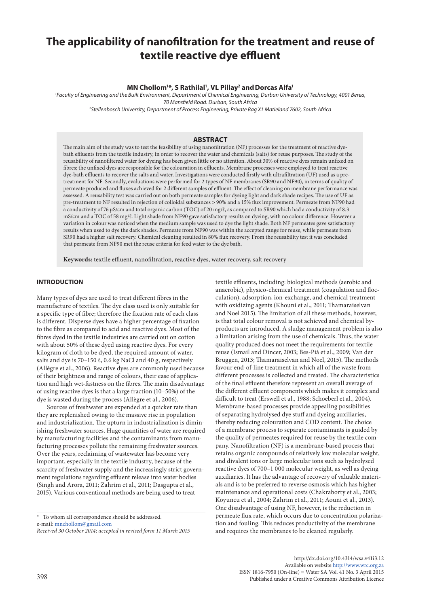# **The applicability of nanofiltration for the treatment and reuse of textile reactive dye effluent**

## **MN Chollom1 \*, S Rathilal1 , VL Pillay2 andDorcas Alfa1**

<sup>1</sup> Faculty of Engineering and the Built Environment, Department of Chemical Engineering, Durban University of Technology, 4001 Berea, *70 Mansfield Road. Durban, South Africa 2 Stellenbosch University, Department of Process Engineering, Private Bag X1 Matieland 7602, South Africa*

# **ABSTRACT**

The main aim of the study was to test the feasibility of using nanofiltration (NF) processes for the treatment of reactive dyebath effluents from the textile industry, in order to recover the water and chemicals (salts) for reuse purposes. The study of the reusability of nanofiltered water for dyeing has been given little or no attention. About 30% of reactive dyes remain unfixed on fibres; the unfixed dyes are responsible for the colouration in effluents. Membrane processes were employed to treat reactive dye-bath effluents to recover the salts and water. Investigations were conducted firstly with ultrafiltration (UF) used as a pretreatment for NF. Secondly, evaluations were performed for 2 types of NF membranes (SR90 and NF90), in terms of quality of permeate produced and fluxes achieved for 2 different samples of effluent. The effect of cleaning on membrane performance was assessed. A reusability test was carried out on both permeate samples for dyeing light and dark shade recipes. The use of UF as pre-treatment to NF resulted in rejection of colloidal substances > 90% and a 15% flux improvement. Permeate from NF90 had a conductivity of 76 µS/cm and total organic carbon (TOC) of 20 mg/ℓ, as compared to SR90 which had a conductivity of 8.3 mS/cm and a TOC of 58 mg/ℓ. Light shade from NF90 gave satisfactory results on dyeing, with no colour difference. However a variation in colour was noticed when the medium sample was used to dye the light shade. Both NF permeates gave satisfactory results when used to dye the dark shades. Permeate from NF90 was within the accepted range for reuse, while permeate from SR90 had a higher salt recovery. Chemical cleaning resulted in 80% flux recovery. From the reusability test it was concluded that permeate from NF90 met the reuse criteria for feed water to the dye bath.

**Keywords:** textile effluent, nanofiltration, reactive dyes, water recovery, salt recovery

## **INTRODUCTION**

Many types of dyes are used to treat different fibres in the manufacture of textiles. The dye class used is only suitable for a specific type of fibre; therefore the fixation rate of each class is different. Disperse dyes have a higher percentage of fixation to the fibre as compared to acid and reactive dyes. Most of the fibres dyed in the textile industries are carried out on cotton with about 50% of these dyed using reactive dyes. For every kilogram of cloth to be dyed, the required amount of water, salts and dye is 70–150 ℓ, 0.6 kg NaCl and 40 g, respectively (Allègre et al., 2006). Reactive dyes are commonly used because of their brightness and range of colours, their ease of application and high wet-fastness on the fibres. The main disadvantage of using reactive dyes is that a large fraction (10–50%) of the dye is wasted during the process (Allègre et al., 2006).

Sources of freshwater are expended at a quicker rate than they are replenished owing to the massive rise in population and industrialization. The upturn in industrialization is diminishing freshwater sources. Huge quantities of water are required by manufacturing facilities and the contaminants from manufacturing processes pollute the remaining freshwater sources. Over the years, reclaiming of wastewater has become very important, especially in the textile industry, because of the scarcity of freshwater supply and the increasingly strict government regulations regarding effluent release into water bodies (Singh and Arora, 2011; Zahrim et al., 2011; Dasgupta et al., 2015). Various conventional methods are being used to treat

e-mail: [mnchollom@gmail.com](mailto:mnchollom%40gmail.com?subject=)

textile effluents, including: biological methods (aerobic and anaerobic), physico-chemical treatment (coagulation and flocculation), adsorption, ion-exchange, and chemical treatment with oxidizing agents (Khouni et al., 2011; Thamaraiselvan and Noel 2015). The limitation of all these methods, however, is that total colour removal is not achieved and chemical byproducts are introduced. A sludge management problem is also a limitation arising from the use of chemicals. Thus, the water quality produced does not meet the requirements for textile reuse (Ismail and Dincer, 2003; Bes-Piá et al., 2009; Van der Bruggen, 2013; Thamaraiselvan and Noel, 2015). The methods favour end-of-line treatment in which all of the waste from different processes is collected and treated. The characteristics of the final effluent therefore represent an overall average of the different effluent components which makes it complex and difficult to treat (Erswell et al., 1988; Schoeberl et al., 2004). Membrane-based processes provide appealing possibilities of separating hydrolysed dye stuff and dyeing auxiliaries, thereby reducing colouration and COD content. The choice of a membrane process to separate contaminants is guided by the quality of permeates required for reuse by the textile company. Nanofiltration (NF) is a membrane-based process that retains organic compounds of relatively low molecular weight, and divalent ions or large molecular ions such as hydrolysed reactive dyes of 700–1 000 molecular weight, as well as dyeing auxiliaries. It has the advantage of recovery of valuable materials and is to be preferred to reverse osmosis which has higher maintenance and operational costs (Chakraborty et al., 2003; Koyuncu et al., 2004; Zahrim et al., 2011; Aouni et al., 2013). One disadvantage of using NF, however, is the reduction in permeate flux rate, which occurs due to concentration polarization and fouling. This reduces productivity of the membrane and requires the membranes to be cleaned regularly.

<sup>\*</sup> To whom all correspondence should be addressed.

*Received 30 October 2014; accepted in revised form 11 March 2015*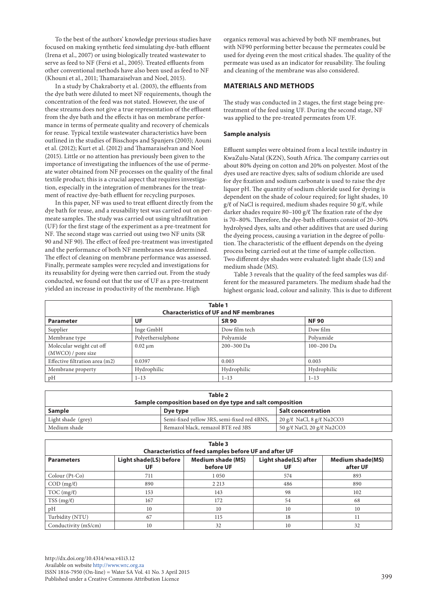To the best of the authors' knowledge previous studies have focused on making synthetic feed simulating dye-bath effluent (Irena et al., 2007) or using biologically treated wastewater to serve as feed to NF (Fersi et al., 2005). Treated effluents from other conventional methods have also been used as feed to NF (Khouni et al., 2011; Thamaraiselvan and Noel, 2015).

In a study by Chakraborty et al. (2003), the effluents from the dye bath were diluted to meet NF requirements, though the concentration of the feed was not stated. However, the use of these streams does not give a true representation of the effluent from the dye bath and the effects it has on membrane performance in terms of permeate quality and recovery of chemicals for reuse. Typical textile wastewater characteristics have been outlined in the studies of Bisschops and Spanjers (2003); Aouni et al. (2012); Kurt et al. (2012) and Thamaraiselvan and Noel (2015). Little or no attention has previously been given to the importance of investigating the influences of the use of permeate water obtained from NF processes on the quality of the final textile product; this is a crucial aspect that requires investigation, especially in the integration of membranes for the treatment of reactive dye-bath effluent for recycling purposes.

In this paper, NF was used to treat effluent directly from the dye bath for reuse, and a reusability test was carried out on permeate samples. The study was carried out using ultrafiltration (UF) for the first stage of the experiment as a pre-treatment for NF. The second stage was carried out using two NF units (SR 90 and NF 90). The effect of feed pre-treatment was investigated and the performance of both NF membranes was determined. The effect of cleaning on membrane performance was assessed. Finally, permeate samples were recycled and investigations for its reusability for dyeing were then carried out. From the study conducted, we found out that the use of UF as a pre-treatment yielded an increase in productivity of the membrane. High

organics removal was achieved by both NF membranes, but with NF90 performing better because the permeates could be used for dyeing even the most critical shades. The quality of the permeate was used as an indicator for reusability. The fouling and cleaning of the membrane was also considered.

## **MATERIALS AND METHODS**

The study was conducted in 2 stages, the first stage being pretreatment of the feed using UF. During the second stage, NF was applied to the pre-treated permeates from UF.

## **Sample analysis**

Effluent samples were obtained from a local textile industry in KwaZulu-Natal (KZN), South Africa. The company carries out about 80% dyeing on cotton and 20% on polyester. Most of the dyes used are reactive dyes; salts of sodium chloride are used for dye fixation and sodium carbonate is used to raise the dye liquor pH. The quantity of sodium chloride used for dyeing is dependent on the shade of colour required; for light shades, 10 g/ℓ of NaCl is required, medium shades require 50 g/ℓ, while darker shades require 80–100 g/ℓ The fixation rate of the dye is 70–80%. Therefore, the dye-bath effluents consist of 20–30% hydrolysed dyes, salts and other additives that are used during the dyeing process, causing a variation in the degree of pollution. The characteristic of the effluent depends on the dyeing process being carried out at the time of sample collection. Two different dye shades were evaluated: light shade (LS) and medium shade (MS).

Table 3 reveals that the quality of the feed samples was different for the measured parameters. The medium shade had the highest organic load, colour and salinity. This is due to different

| Table 1<br><b>Characteristics of UF and NF membranes</b> |                   |               |                |  |  |
|----------------------------------------------------------|-------------------|---------------|----------------|--|--|
| <b>Parameter</b>                                         | UF                | <b>SR 90</b>  | <b>NF90</b>    |  |  |
| Supplier                                                 | Inge GmbH         | Dow film tech | Dow film       |  |  |
| Membrane type                                            | Polyethersulphone | Polyamide     | Polyamide      |  |  |
| Molecular weight cut off<br>(MWCO) / pore size           | $0.02 \mu m$      | 200-300 Da    | $100 - 200$ Da |  |  |
| Effective filtration area (m2)                           | 0.0397            | 0.003         | 0.003          |  |  |
| Membrane property                                        | Hydrophilic       | Hydrophilic   | Hydrophilic    |  |  |
| pН                                                       | $1 - 13$          | $1 - 13$      | $1 - 13$       |  |  |

| Table 2<br>Sample composition based on dye type and salt composition |                                             |                                                     |  |  |
|----------------------------------------------------------------------|---------------------------------------------|-----------------------------------------------------|--|--|
| <b>Sample</b><br>Dye type                                            |                                             | <b>Salt concentration</b>                           |  |  |
| Light shade (grey)                                                   | Semi-fixed yellow 3RS, semi-fixed red 4BNS, | $20 \text{ g}/\ell$ NaCl, $8 \text{ g}/\ell$ Na2CO3 |  |  |
| Medium shade                                                         | Remazol black, remazol BTE red 3BS          | 50 g/ $\ell$ NaCl, 20 g/ $\ell$ Na2CO3              |  |  |

| Table 3<br>Characteristics of feed samples before UF and after UF |                              |                                       |                             |                                     |  |  |
|-------------------------------------------------------------------|------------------------------|---------------------------------------|-----------------------------|-------------------------------------|--|--|
| <b>Parameters</b>                                                 | Light shade(LS) before<br>UF | <b>Medium shade (MS)</b><br>before UF | Light shade(LS) after<br>UF | <b>Medium shade(MS)</b><br>after UF |  |  |
| Colour (Pt-Co)                                                    | 711                          | 1 0 5 0                               | 574                         | 893                                 |  |  |
| $COD$ (mg/ $\ell$ )                                               | 890                          | 2 2 1 3                               | 486                         | 890                                 |  |  |
| TOC $(mg/\ell)$                                                   | 153                          | 143                                   | 98                          | 102                                 |  |  |
| $TSS(mg/\ell)$                                                    | 167                          | 172                                   | 54                          | 68                                  |  |  |
| pH                                                                | 10                           | 10                                    | 10                          | 10                                  |  |  |
| Turbidity (NTU)                                                   | 67                           | 115                                   | 18                          | 11                                  |  |  |
| Conductivity (mS/cm)                                              | 10                           | 32                                    | 10                          | 32                                  |  |  |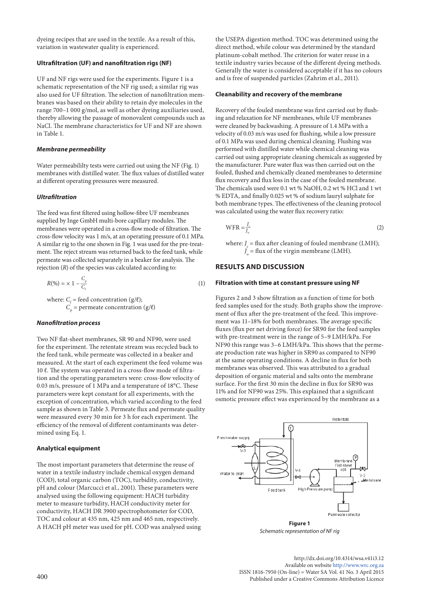dyeing recipes that are used in the textile. As a result of this, variation in wastewater quality is experienced.

## **Ultrafiltration (UF) and nanofiltration rigs (NF)**

UF and NF rigs were used for the experiments. Figure 1 is a schematic representation of the NF rig used; a similar rig was also used for UF filtration. The selection of nanofiltration membranes was based on their ability to retain dye molecules in the range 700–1 000 g/mol, as well as other dyeing auxiliaries used, thereby allowing the passage of monovalent compounds such as NaCl. The membrane characteristics for UF and NF are shown in Table 1.

## *Membrane permeability*

Water permeabililty tests were carried out using the NF (Fig. 1) membranes with distilled water. The flux values of distilled water at different operating pressures were measured.

## *Ultrafiltration*

The feed was first filtered using hollow-fibre UF membranes supplied by Inge GmbH multi-bore capillary modules. The membranes were operated in a cross-flow mode of filtration. The cross-flow velocity was 1 m/s, at an operating pressure of 0.1 MPa. A similar rig to the one shown in Fig. 1 was used for the pre-treatment. The reject stream was returned back to the feed tank, while permeate was collected separately in a beaker for analysis. The rejection (*R*) of the species was calculated according to:

$$
R(\%)=\times 1-\frac{C_{\rm p}}{C_{\rm f}}
$$
 (1)

where:  $C_f$  = feed concentration (g/ $\ell$ );  $C_p$  = permeate concentration (g/ℓ)

#### *Nanofiltration process*

Two NF flat-sheet membranes, SR 90 and NF90, were used for the experiment. The retentate stream was recycled back to the feed tank, while permeate was collected in a beaker and measured. At the start of each experiment the feed volume was 10 ℓ. The system was operated in a cross-flow mode of filtration and the operating parameters were: cross-flow velocity of 0.03 m/s, pressure of 1 MPa and a temperature of 18°C. These parameters were kept constant for all experiments, with the exception of concentration, which varied according to the feed sample as shown in Table 3. Permeate flux and permeate quality were measured every 30 min for 3 h for each experiment. The efficiency of the removal of different contaminants was determined using Eq. 1.

#### **Analytical equipment**

The most important parameters that determine the reuse of water in a textile industry include chemical oxygen demand (COD), total organic carbon (TOC), turbidity, conductivity, pH and colour (Marcucci et al., 2001). These parameters were analysed using the following equipment: HACH turbidity meter to measure turbidity, HACH conductivity meter for conductivity, HACH DR 3900 spectrophotometer for COD, TOC and colour at 435 nm, 425 nm and 465 nm, respectively. A HACH pH meter was used for pH. COD was analysed using

the USEPA digestion method. TOC was determined using the direct method, while colour was determined by the standard platinum-cobalt method. The criterion for water reuse in a textile industry varies because of the different dyeing methods. Generally the water is considered acceptable if it has no colours and is free of suspended particles (Zahrim et al., 2011).

## **Cleanability and recovery of the membrane**

Recovery of the fouled membrane was first carried out by flushing and relaxation for NF membranes, while UF membranes were cleaned by backwashing. A pressure of 1.4 MPa with a velocity of 0.03 m/s was used for flushing, while a low pressure of 0.1 MPa was used during chemical cleaning. Flushing was performed with distilled water while chemical cleaning was carried out using appropriate cleaning chemicals as suggested by the manufacturer. Pure water flux was then carried out on the fouled, flushed and chemically cleaned membranes to determine flux recovery and flux loss in the case of the fouled membrane. The chemicals used were 0.1 wt % NaOH, 0.2 wt % HCl and 1 wt % EDTA, and finally 0.025 wt % of sodium lauryl sulphate for both membrane types. The effectiveness of the cleaning protocol was calculated using the water flux recovery ratio:

$$
WFR = \frac{J_c}{I_o}
$$
 (2)

where:  $J_c$  = flux after cleaning of fouled membrane (LMH);  $J_{\rm o}$  = flux of the virgin membrane (LMH).

## **RESULTS AND DISCUSSION**

## **Filtration with time at constant pressure using NF**

Figures 2 and 3 show filtration as a function of time for both feed samples used for the study. Both graphs show the improvement of flux after the pre-treatment of the feed. This improvement was 11–18% for both membranes. The average specific fluxes (flux per net driving force) for SR90 for the feed samples with pre-treatment were in the range of 5–9 LMH/kPa. For NF90 this range was 3–6 LMH/kPa. This shows that the permeate production rate was higher in SR90 as compared to NF90 at the same operating conditions. A decline in flux for both membranes was observed. This was attributed to a gradual deposition of organic material and salts onto the membrane surface. For the first 30 min the decline in flux for SR90 was 11% and for NF90 was 25%. This explained that a significant osmotic pressure effect was experienced by the membrane as a



Schematic representation of NF rig *Schematic representation of NF rig*

[http://dx.doi.org/10.4314/wsa.v41i3.](http://dx.doi.org/10.4314/wsa.v41i3.12)12 Available on website <http://www.wrc.org.za> ISSN 1816-7950 (On-line) = Water SA Vol. 41 No. 3 April 2015 Published under a Creative Commons Attribution Licence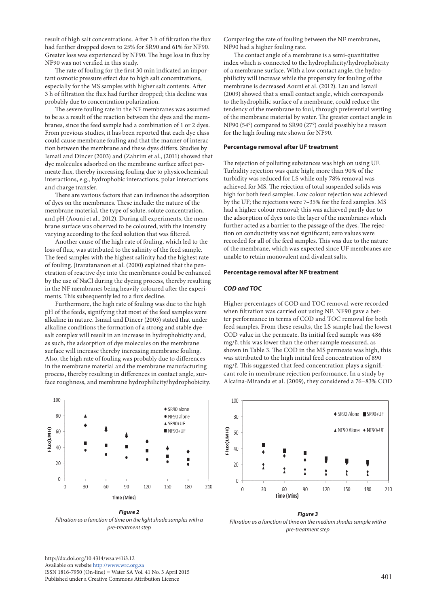result of high salt concentrations. After 3 h of filtration the flux had further dropped down to 25% for SR90 and 61% for NF90. Greater loss was experienced by NF90. The huge loss in flux by NF90 was not verified in this study.

The rate of fouling for the first 30 min indicated an important osmotic pressure effect due to high salt concentrations, especially for the MS samples with higher salt contents. After 3 h of filtration the flux had further dropped; this decline was probably due to concentration polarization.

The severe fouling rate in the NF membranes was assumed to be as a result of the reaction between the dyes and the membranes, since the feed sample had a combination of 1 or 2 dyes. From previous studies, it has been reported that each dye class could cause membrane fouling and that the manner of interaction between the membrane and these dyes differs. Studies by Ismail and Dincer (2003) and (Zahrim et al., (2011) showed that dye molecules adsorbed on the membrane surface affect permeate flux, thereby increasing fouling due to physicochemical interactions, e.g., hydrophobic interactions, polar interactions and charge transfer.

There are various factors that can influence the adsorption of dyes on the membranes. These include: the nature of the membrane material, the type of solute, solute concentration, and pH (Aouni et al., 2012). During all experiments, the membrane surface was observed to be coloured, with the intensity varying according to the feed solution that was filtered.

Another cause of the high rate of fouling, which led to the loss of flux, was attributed to the salinity of the feed sample. The feed samples with the highest salinity had the highest rate of fouling. Jiraratananon et al. (2000) explained that the penetration of reactive dye into the membranes could be enhanced by the use of NaCl during the dyeing process, thereby resulting in the NF membranes being heavily coloured after the experiments. This subsequently led to a flux decline.

Furthermore, the high rate of fouling was due to the high pH of the feeds, signifying that most of the feed samples were alkaline in nature. Ismail and Dincer (2003) stated that under alkaline conditions the formation of a strong and stable dyesalt complex will result in an increase in hydrophobicity and, as such, the adsorption of dye molecules on the membrane surface will increase thereby increasing membrane fouling. Also, the high rate of fouling was probably due to differences in the membrane material and the membrane manufacturing process, thereby resulting in differences in contact angle, surface roughness, and membrane hydrophilicity/hydrophobicity.



Figure 2 *Filtration as a function of time on the light shade samples with a*  Filtration as a function of time on the light shade samples with a pre-treatment step *pre-treatment stepFigure 2*

Comparing the rate of fouling between the NF membranes, NF90 had a higher fouling rate.

The contact angle of a membrane is a semi-quantitative index which is connected to the hydrophilicity/hydrophobicity of a membrane surface. With a low contact angle, the hydrophilicity will increase while the propensity for fouling of the membrane is decreased Aouni et al. (2012). Lau and Ismail (2009) showed that a small contact angle, which corresponds to the hydrophilic surface of a membrane, could reduce the tendency of the membrane to foul, through preferential wetting of the membrane material by water. The greater contact angle in NF90 (54°) compared to SR90 (27°) could possibly be a reason for the high fouling rate shown for NF90.

#### **Percentage removal after UF treatment**

The rejection of polluting substances was high on using UF. Turbidity rejection was quite high; more than 90% of the turbidity was reduced for LS while only 78% removal was achieved for MS. The rejection of total suspended solids was high for both feed samples. Low colour rejection was achieved by the UF; the rejections were 7–35% for the feed samples. MS had a higher colour removal; this was achieved partly due to the adsorption of dyes onto the layer of the membranes which further acted as a barrier to the passage of the dyes. The rejection on conductivity was not significant; zero values were recorded for all of the feed samples. This was due to the nature of the membrane, which was expected since UF membranes are unable to retain monovalent and divalent salts.

#### **Percentage removal after NF treatment**

## *COD and TOC*

Higher percentages of COD and TOC removal were recorded when filtration was carried out using NF. NF90 gave a better performance in terms of COD and TOC removal for both feed samples. From these results, the LS sample had the lowest COD value in the permeate. Its initial feed sample was 486  $mg/l$ ; this was lower than the other sample measured, as shown in Table 3. The COD in the MS permeate was high, this was attributed to the high initial feed concentration of 890 mg/ℓ. This suggested that feed concentration plays a significant role in membrane rejection performance. In a study by Alcaina-Miranda et al. (2009), they considered a 76–83% COD



Filtration as a function of time on the medium shades sample with a pre-treatment step *Figure 3 Filtration as a function of time on the medium shades sample with a pre-treatment step*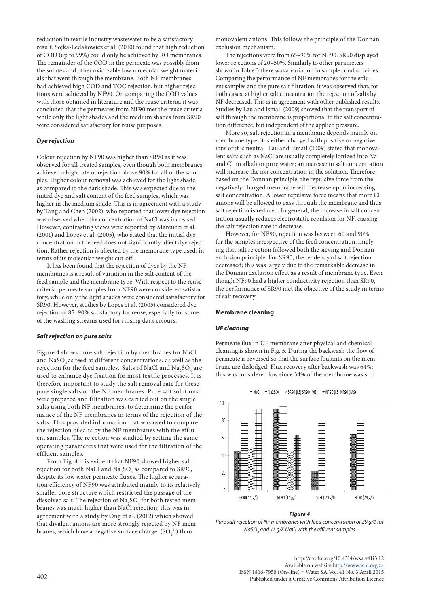reduction in textile industry wastewater to be a satisfactory result. Sojka-Ledakowicz et al. (2010) found that high reduction of COD (up to 99%) could only be achieved by RO membranes. The remainder of the COD in the permeate was possibly from the solutes and other oxidizable low molecular weight materials that went through the membrane. Both NF membranes had achieved high COD and TOC rejection, but higher rejections were achieved by NF90. On comparing the COD values with those obtained in literature and the reuse criteria, it was concluded that the permeates from NF90 met the reuse criteria while only the light shades and the medium shades from SR90 were considered satisfactory for reuse purposes.

## *Dye rejection*

Colour rejection by NF90 was higher than SR90 as it was observed for all treated samples, even though both membranes achieved a high rate of rejection above 90% for all of the samples. Higher colour removal was achieved for the light shade as compared to the dark shade. This was expected due to the initial dye and salt content of the feed samples, which was higher in the medium shade. This is in agreement with a study by Tang and Chen (2002), who reported that lower dye rejection was observed when the concentration of NaCl was increased. However, contrasting views were reported by Marcucci et al. (2001) and Lopes et al. (2005), who stated that the initial dye concentration in the feed does not significantly affect dye rejection. Rather rejection is affected by the membrane type used, in terms of its molecular weight cut-off.

It has been found that the rejection of dyes by the NF membranes is a result of variation in the salt content of the feed sample and the membrane type. With respect to the reuse criteria, permeate samples from NF90 were considered satisfactory, while only the light shades were considered satisfactory for SR90. However, studies by Lopes et al. (2005) considered dye rejection of 85–90% satisfactory for reuse, especially for some of the washing streams used for rinsing dark colours.

## *Salt rejection on pure salts*

Figure 4 shows pure salt rejection by membranes for NaCl and NaSO<sub>4</sub> as feed at different concentrations, as well as the rejection for the feed samples. Salts of NaCl and  $\operatorname{Na_2SO_4}$  are used to enhance dye fixation for most textile processes. It is therefore important to study the salt removal rate for these pure single salts on the NF membranes. Pure salt solutions were prepared and filtration was carried out on the single salts using both NF membranes, to determine the performance of the NF membranes in terms of the rejection of the salts. This provided information that was used to compare the rejection of salts by the NF membranes with the effluent samples. The rejection was studied by setting the same operating parameters that were used for the filtration of the effluent samples.

From Fig. 4 it is evident that NF90 showed higher salt rejection for both NaCl and  $\operatorname{Na_2SO_4}$  as compared to SR90, despite its low water permeate fluxes. The higher separation efficiency of NF90 was attributed mainly to its relatively smaller pore structure which restricted the passage of the dissolved salt. The rejection of  $\text{Na}_2\text{SO}_4$  for both tested membranes was much higher than NaCl rejection; this was in agreement with a study by Ong et al. (2012) which showed that divalent anions are more strongly rejected by NF membranes, which have a negative surface charge,  $(SO_4^2)$  than

monovalent anions. This follows the principle of the Donnan exclusion mechanism.

The rejections were from 65–90% for NF90. SR90 displayed lower rejections of 20–50%. Similarly to other parameters shown in Table 3 there was a variation in sample conductivities. Comparing the performance of NF membranes for the effluent samples and the pure salt filtration, it was observed that, for both cases, at higher salt concentration the rejection of salts by NF decreased. This is in agreement with other published results. Studies by Lau and Ismail (2009) showed that the transport of salt through the membrane is proportional to the salt concentration difference, but independent of the applied pressure.

More so, salt rejection in a membrane depends mainly on membrane type; it is either charged with positive or negative ions or it is neutral. Lau and Ismail (2009) stated that monovalent salts such as NaCl are usually completely ionized into Na<sup>+</sup> and Cl- in alkali or pure water; an increase in salt concentration will increase the ion concentration in the solution. Therefore, based on the Donnan principle, the repulsive force from the negatively-charged membrane will decrease upon increasing salt concentration. A lower repulsive force means that more Clanions will be allowed to pass through the membrane and thus salt rejection is reduced. In general, the increase in salt concentration usually reduces electrostatic repulsion for NF, causing the salt rejection rate to decrease.

However, for NF90, rejection was between 60 and 90% for the samples irrespective of the feed concentration, implying that salt rejection followed both the sieving and Donnan exclusion principle. For SR90, the tendency of salt rejection decreased; this was largely due to the remarkable decrease in the Donnan exclusion effect as a result of membrane type. Even though NF90 had a higher conductivity rejection than SR90, the performance of SR90 met the objective of the study in terms of salt recovery.

## **Membrane cleaning**

## *UF cleaning*

Permeate flux in UF membrane after physical and chemical cleaning is shown in Fig. 5. During the backwash the flow of permeate is reversed so that the surface foulants on the membrane are dislodged. Flux recovery after backwash was 64%; this was considered low since 34% of the membrane was still



#### **88 NaCl = Na2SO4** % SR90 (LS) SR90 (MS) = # NF90 (LS) NF90 (MS)

#### *Figure 4*

Pure salt rejection of NF membranes with feed concentration of 29 g/ℓ for<br>→ NaSO4 and 11 g/₹ NaSO4 and 11 g/º NaSO4 and 11 g/º NaSO4 and 11 g/º NaSO4 and 11 g/º NaSO4 and 11 g/º NaSO4 a *NaSO4 and 11 g/ℓ NaCl with the effluent samples* effluent samples samples samples samples samples samples samples samples samples samples samples samples sampl<br>Experiment samples samples samples samples samples samples samples samples samples samples samples samples sam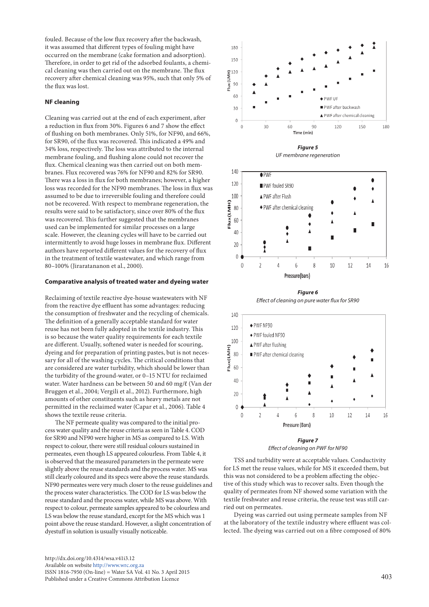fouled. Because of the low flux recovery after the backwash, it was assumed that different types of fouling might have occurred on the membrane (cake formation and adsorption). Therefore, in order to get rid of the adsorbed foulants, a chemical cleaning was then carried out on the membrane. The flux recovery after chemical cleaning was 95%, such that only 5% of the flux was lost.

## **NF cleaning**

Cleaning was carried out at the end of each experiment, after a reduction in flux from 30%. Figures 6 and 7 show the effect of flushing on both membranes. Only 51%, for NF90, and 66%, for SR90, of the flux was recovered. This indicated a 49% and 34% loss, respectively. The loss was attributed to the internal membrane fouling, and flushing alone could not recover the flux. Chemical cleaning was then carried out on both membranes. Flux recovered was 76% for NF90 and 82% for SR90. There was a loss in flux for both membranes; however, a higher loss was recorded for the NF90 membranes. The loss in flux was assumed to be due to irreversible fouling and therefore could not be recovered. With respect to membrane regeneration, the results were said to be satisfactory, since over 80% of the flux was recovered. This further suggested that the membranes used can be implemented for similar processes on a large scale. However, the cleaning cycles will have to be carried out intermittently to avoid huge losses in membrane flux. Different authors have reported different values for the recovery of flux in the treatment of textile wastewater, and which range from 80–100% (Jiraratananon et al., 2000).

## **Comparative analysis of treated water and dyeing water**

Reclaiming of textile reactive dye-house wastewaters with NF from the reactive dye effluent has some advantages: reducing the consumption of freshwater and the recycling of chemicals. The definition of a generally acceptable standard for water reuse has not been fully adopted in the textile industry. This is so because the water quality requirements for each textile are different. Usually, softened water is needed for scouring, dyeing and for preparation of printing pastes, but is not necessary for all of the washing cycles. The critical conditions that are considered are water turbidity, which should be lower than the turbidity of the ground-water, or 0–15 NTU for reclaimed water. Water hardness can be between 50 and 60 mg/ℓ (Van der Bruggen et al., 2004; Vergili et al., 2012). Furthermore, high amounts of other constituents such as heavy metals are not permitted in the reclaimed water (Capar et al., 2006). Table 4 shows the textile reuse criteria.

The NF permeate quality was compared to the initial process water quality and the reuse criteria as seen in Table 4. COD for SR90 and NF90 were higher in MS as compared to LS. With respect to colour, there were still residual colours sustained in permeates, even though LS appeared colourless. From Table 4, it is observed that the measured parameters in the permeate were slightly above the reuse standards and the process water. MS was still clearly coloured and its specs were above the reuse standards. NF90 permeates were very much closer to the reuse guidelines and the process water characteristics. The COD for LS was below the reuse standard and the process water, while MS was above. With respect to colour, permeate samples appeared to be colourless and LS was below the reuse standard, except for the MS which was 1 point above the reuse standard. However, a slight concentration of dyestuff in solution is usually visually noticeable.



UF membrane regeneration *UF membrane regeneration Figure 5*



*Figure 6 Effect of cleaning on pure water flux for SR90* 



Effect of cleaning on PWF for NF90 *Effect of cleaning on PWF for NF90Figure 7*

TSS and turbidity were at acceptable values. Conductivity for LS met the reuse values, while for MS it exceeded them, but this was not considered to be a problem affecting the objective of this study which was to recover salts. Even though the quality of permeates from NF showed some variation with the textile freshwater and reuse criteria, the reuse test was still carried out on permeates.

Dyeing was carried out using permeate samples from NF at the laboratory of the textile industry where effluent was collected. The dyeing was carried out on a fibre composed of 80%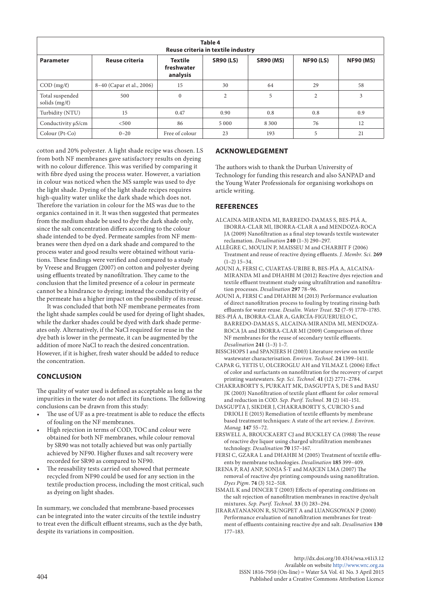| Table 4<br>Reuse criteria in textile industry |                           |                                          |                  |                  |                  |                  |
|-----------------------------------------------|---------------------------|------------------------------------------|------------------|------------------|------------------|------------------|
| <b>Parameter</b>                              | <b>Reuse criteria</b>     | <b>Textile</b><br>freshwater<br>analysis | <b>SR90 (LS)</b> | <b>SR90 (MS)</b> | <b>NF90 (LS)</b> | <b>NF90 (MS)</b> |
| $COD \, (mg/\ell)$                            | 8-40 (Capar et al., 2006) | 15                                       | 30               | 64               | 29               | 58               |
| Total suspended<br>solids $(mg/\ell)$         | 500                       | $\mathbf{0}$                             | $\overline{2}$   | 5                | $\overline{2}$   | 3                |
| Turbidity (NTU)                               | 15                        | 0.47                                     | 0.90             | 0.8              | 0.8              | 0.9              |
| Conductivity $\mu$ S/cm                       | < 500                     | 86                                       | 5 0 0 0          | 8 3 0 0          | 76               | 12               |
| Colour (Pt-Co)                                | $0 - 20$                  | Free of colour                           | 23               | 193              | 5                | 21               |

cotton and 20% polyester. A light shade recipe was chosen. LS from both NF membranes gave satisfactory results on dyeing with no colour difference. This was verified by comparing it with fibre dyed using the process water. However, a variation in colour was noticed when the MS sample was used to dye the light shade. Dyeing of the light shade recipes requires high-quality water unlike the dark shade which does not. Therefore the variation in colour for the MS was due to the organics contained in it. It was then suggested that permeates from the medium shade be used to dye the dark shade only, since the salt concentration differs according to the colour shade intended to be dyed. Permeate samples from NF membranes were then dyed on a dark shade and compared to the process water and good results were obtained without variations. These findings were verified and compared to a study by Vreese and Bruggen (2007) on cotton and polyester dyeing using effluents treated by nanofiltration. They came to the conclusion that the limited presence of a colour in permeate cannot be a hindrance to dyeing; instead the conductivity of the permeate has a higher impact on the possibility of its reuse.

It was concluded that both NF membrane permeates from the light shade samples could be used for dyeing of light shades, while the darker shades could be dyed with dark shade permeates only. Alternatively, if the NaCl required for reuse in the dye bath is lower in the permeate, it can be augmented by the addition of more NaCl to reach the desired concentration. However, if it is higher, fresh water should be added to reduce the concentration.

# **CONCLUSION**

The quality of water used is defined as acceptable as long as the impurities in the water do not affect its functions. The following conclusions can be drawn from this study:

- The use of UF as a pre-treatment is able to reduce the effects of fouling on the NF membranes.
- High rejection in terms of COD, TOC and colour were obtained for both NF membranes, while colour removal by SR90 was not totally achieved but was only partially achieved by NF90. Higher fluxes and salt recovery were recorded for SR90 as compared to NF90.
- The reusability tests carried out showed that permeate recycled from NF90 could be used for any section in the textile production process, including the most critical, such as dyeing on light shades.

In summary, we concluded that membrane-based processes can be integrated into the water circuits of the textile industry to treat even the difficult effluent streams, such as the dye bath, despite its variations in composition.

# **ACKNOWLEDGEMENT**

The authors wish to thank the Durban University of Technology for funding this research and also SANPAD and the Young Water Professionals for organising workshops on article writing.

# **REFERENCES**

- ALCAINA-MIRANDA MI, BARREDO-DAMAS S, BES-PIÁ A, IBORRA-CLAR MI, IBORRA-CLAR A and MENDOZA-ROCA JA (2009) Nanofiltration as a final step towards textile wastewater reclamation. *Desalination* **240** (1–3) 290–297.
- ALLÈGRE C, MOULIN P, MAISSEU M and CHARBIT F (2006) Treatment and reuse of reactive dyeing effluents. *J. Membr. Sci.* **269**  $(1-2)$  15 $-34$ .
- AOUNI A, FERSI C, CUARTAS-URIBE B, BES-PÍA A, ALCAINA-MIRANDA MI and DHAHBI M (2012) Reactive dyes rejection and textile effluent treatment study using ultrafiltration and nanofiltration processes. *Desalination* **297** 78–96.
- AOUNI A, FERSI C and DHAHBI M (2013) Performance evaluation of direct nanofiltration process to fouling by treating rinsing-bath effluents for water reuse. *Desalin. Water Treat.* **52** (7–9) 1770–1785.
- BES-PIÁ A, IBORRA-CLAR A, GARCÍA-FIGUERUELO C, BARREDO-DAMAS S, ALCAINA-MIRANDA MI, MENDOZA-ROCA JA and IBORRA-CLAR MI (2009) Comparison of three NF membranes for the reuse of secondary textile effluents. *Desalination* **241** (1–3) 1–7.
- BISSCHOPS I and SPANJERS H (2003) Literature review on textile wastewater characterisation. *Environ. Technol.* **24** 1399–1411.
- CAPAR G, YETIS U, OLCEROGLU AH and YILMAZ L (2006) Effect of color and surfactants on nanofiltration for the recovery of carpet printing wastewaters. *Sep. Sci. Technol.* **41** (12) 2771–2784.
- CHAKRABORTY S, PURKAIT MK, DASGUPTA S, DE S and BASU JK (2003) Nanofiltration of textile plant effluent for color removal and reduction in COD. *Sep. Purif. Technol.* **31** (2) 141–151.
- DASGUPTA J, SIKDER J, CHAKRABORTY S, CURCIO S and DRIOLI E (2015) Remediation of textile effluents by membrane based treatment techniques: A state of the art review. *J. Environ. Manag.* **147** 55–72.
- ERSWELL A, BROUCKAERT CJ and BUCKLEY CA (1988) The reuse of reactive dye liquor using charged ultrafiltration membranes technology. *Desalination* **70** 157–167.

FERSI C, GZARA L and DHAHBI M (2005) Treatment of textile effluents by membrane technologies. *Desalination* **185** 399–409.

IRENA P, RAJ ANP, SONJA Š-T and MAJCEN LMA (2007) The removal of reactive dye printing compounds using nanofiltration. *Dyes Pigm.* **74** (3) 512–518.

ISMAIL K and DINCER T (2003) Effects of operating conditions on the salt rejection of nanofiltration membranes in reactive dye/salt mixtures. *Sep. Purif. Technol.* **33** (3) 283–294.

JIRARATANANON R, SUNGPET A and LUANGSOWAN P (2000) Performance evaluation of nanofiltration membranes for treatment of effluents containing reactive dye and salt. *Desalination* **130** 177–183.

> [http://dx.doi.org/10.4314/wsa.v41i3.](http://dx.doi.org/10.4314/wsa.v41i3.12)12 Available on website <http://www.wrc.org.za> ISSN 1816-7950 (On-line) = Water SA Vol. 41 No. 3 April 2015 Published under a Creative Commons Attribution Licence